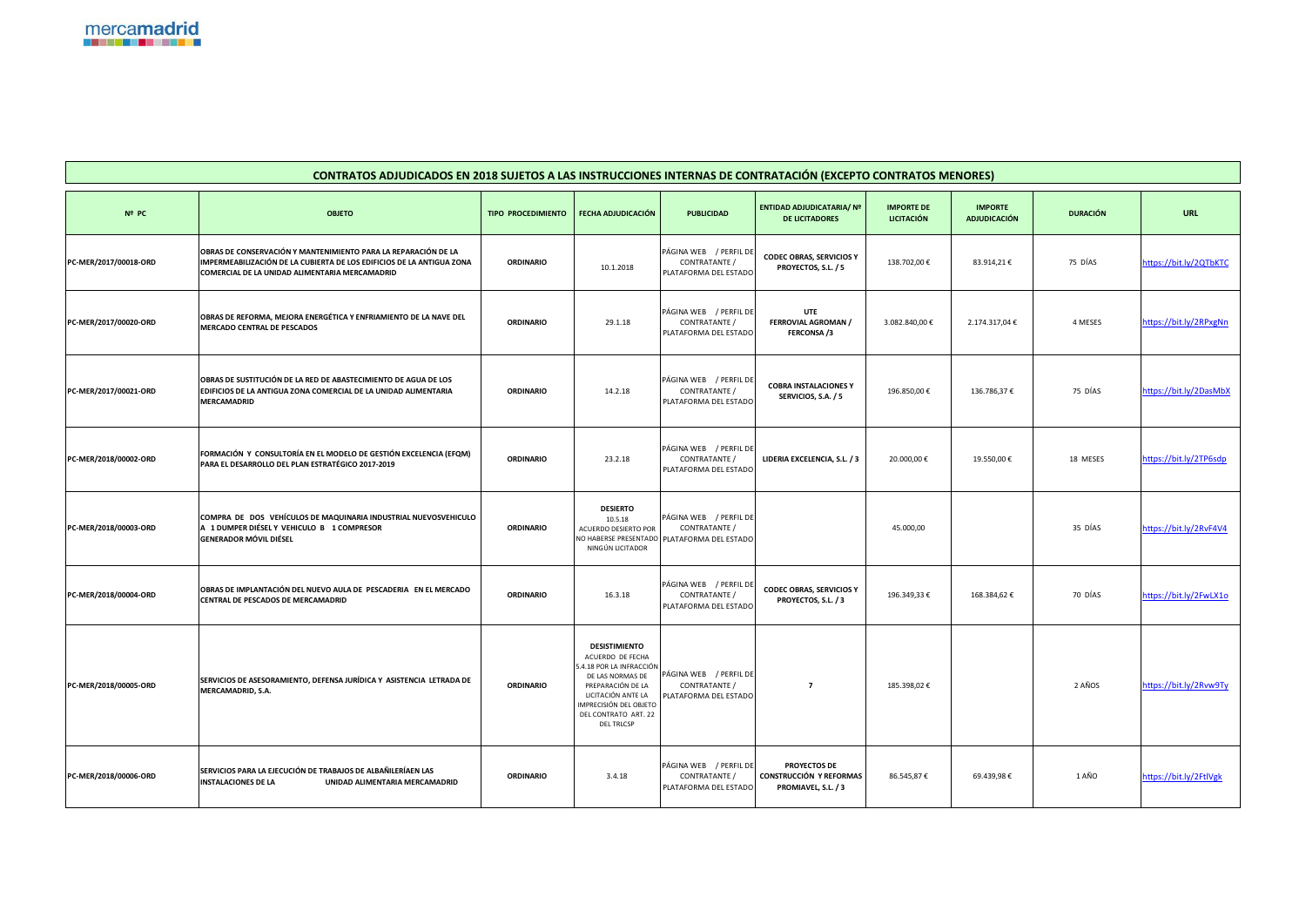| CONTRATOS ADJUDICADOS EN 2018 SUJETOS A LAS INSTRUCCIONES INTERNAS DE CONTRATACIÓN (EXCEPTO CONTRATOS MENORES) |                                                                                                                                                                                           |                           |                                                                                                                                                                                                            |                                                                                          |                                                                              |                                        |                                       |                 |                        |
|----------------------------------------------------------------------------------------------------------------|-------------------------------------------------------------------------------------------------------------------------------------------------------------------------------------------|---------------------------|------------------------------------------------------------------------------------------------------------------------------------------------------------------------------------------------------------|------------------------------------------------------------------------------------------|------------------------------------------------------------------------------|----------------------------------------|---------------------------------------|-----------------|------------------------|
| Nº PC                                                                                                          | <b>OBJETO</b>                                                                                                                                                                             | <b>TIPO PROCEDIMIENTO</b> | <b>FECHA ADJUDICACIÓN</b>                                                                                                                                                                                  | <b>PUBLICIDAD</b>                                                                        | ENTIDAD ADJUDICATARIA/ Nº<br><b>DE LICITADORES</b>                           | <b>IMPORTE DE</b><br><b>LICITACIÓN</b> | <b>IMPORTE</b><br><b>ADJUDICACIÓN</b> | <b>DURACIÓN</b> | <b>URL</b>             |
| PC-MER/2017/00018-ORD                                                                                          | OBRAS DE CONSERVACIÓN Y MANTENIMIENTO PARA LA REPARACIÓN DE LA<br>IMPERMEABILIZACIÓN DE LA CUBIERTA DE LOS EDIFICIOS DE LA ANTIGUA ZONA<br>COMERCIAL DE LA UNIDAD ALIMENTARIA MERCAMADRID | <b>ORDINARIO</b>          | 10.1.2018                                                                                                                                                                                                  | PÁGINA WEB / PERFIL DE<br>CONTRATANTE /<br>PLATAFORMA DEL ESTADO                         | <b>CODEC OBRAS, SERVICIOS Y</b><br>PROYECTOS, S.L. / 5                       | 138.702,00€                            | 83.914,21€                            | 75 DÍAS         | https://bit.ly/2QTbKTC |
| PC-MER/2017/00020-ORD                                                                                          | OBRAS DE REFORMA, MEJORA ENERGÉTICA Y ENFRIAMIENTO DE LA NAVE DEL<br><b>MERCADO CENTRAL DE PESCADOS</b>                                                                                   | <b>ORDINARIO</b>          | 29.1.18                                                                                                                                                                                                    | PÁGINA WEB / PERFIL DE<br>CONTRATANTE /<br>PLATAFORMA DEL ESTADO                         | <b>UTE</b><br><b>FERROVIAL AGROMAN /</b><br><b>FERCONSA/3</b>                | 3.082.840,00 €                         | 2.174.317,04 €                        | 4 MESES         | https://bit.ly/2RPxgNn |
| PC-MER/2017/00021-ORD                                                                                          | OBRAS DE SUSTITUCIÓN DE LA RED DE ABASTECIMIENTO DE AGUA DE LOS<br>EDIFICIOS DE LA ANTIGUA ZONA COMERCIAL DE LA UNIDAD ALIMENTARIA<br><b>MERCAMADRID</b>                                  | <b>ORDINARIO</b>          | 14.2.18                                                                                                                                                                                                    | PÁGINA WEB / PERFIL DE<br>CONTRATANTE /<br>PLATAFORMA DEL ESTADO                         | <b>COBRA INSTALACIONES Y</b><br>SERVICIOS, S.A. / 5                          | 196.850,00€                            | 136.786,37€                           | 75 DÍAS         | https://bit.ly/2DasMbX |
| PC-MER/2018/00002-ORD                                                                                          | FORMACIÓN Y CONSULTORÍA EN EL MODELO DE GESTIÓN EXCELENCIA (EFQM)<br>PARA EL DESARROLLO DEL PLAN ESTRATÉGICO 2017-2019                                                                    | <b>ORDINARIO</b>          | 23.2.18                                                                                                                                                                                                    | PÁGINA WEB / PERFIL DE<br>CONTRATANTE /<br>PLATAFORMA DEL ESTADO                         | LIDERIA EXCELENCIA, S.L. / 3                                                 | 20.000,00 €                            | 19.550,00€                            | 18 MESES        | https://bit.ly/2TP6sdp |
| PC-MER/2018/00003-ORD                                                                                          | COMPRA DE DOS VEHÍCULOS DE MAQUINARIA INDUSTRIAL NUEVOSVEHICULO<br>A 1 DUMPER DIÉSEL Y VEHICULO B 1 COMPRESOR<br><b>GENERADOR MÓVIL DIÉSEL</b>                                            | <b>ORDINARIO</b>          | <b>DESIERTO</b><br>10.5.18<br>ACUERDO DESIERTO POR<br>NINGÚN LICITADOR                                                                                                                                     | PÁGINA WEB / PERFIL DE<br>CONTRATANTE /<br>NO HABERSE PRESENTADO   PLATAFORMA DEL ESTADO |                                                                              | 45.000,00                              |                                       | 35 DÍAS         | https://bit.ly/2RvF4V4 |
| PC-MER/2018/00004-ORD                                                                                          | OBRAS DE IMPLANTACIÓN DEL NUEVO AULA DE PESCADERIA EN EL MERCADO<br><b>CENTRAL DE PESCADOS DE MERCAMADRID</b>                                                                             | <b>ORDINARIO</b>          | 16.3.18                                                                                                                                                                                                    | PÁGINA WEB / PERFIL DE<br>CONTRATANTE /<br>PLATAFORMA DEL ESTADO                         | <b>CODEC OBRAS, SERVICIOS Y</b><br>PROYECTOS, S.L. / 3                       | 196.349,33€                            | 168.384,62€                           | 70 DÍAS         | https://bit.ly/2FwLX1o |
| PC-MER/2018/00005-ORD                                                                                          | SERVICIOS DE ASESORAMIENTO, DEFENSA JURÍDICA Y ASISTENCIA LETRADA DE<br>MERCAMADRID, S.A.                                                                                                 | <b>ORDINARIO</b>          | <b>DESISTIMIENTO</b><br>ACUERDO DE FECHA<br>5.4.18 POR LA INFRACCIÓN<br>DE LAS NORMAS DE<br>PREPARACIÓN DE LA<br>LICITACIÓN ANTE LA<br>IMPRECISIÓN DEL OBJETO<br>DEL CONTRATO ART. 22<br><b>DEL TRLCSP</b> | PÁGINA WEB / PERFIL DE<br>CONTRATANTE /<br>PLATAFORMA DEL ESTADO                         | 7                                                                            | 185.398,02€                            |                                       | 2 AÑOS          | https://bit.ly/2Rvw9Ty |
| PC-MER/2018/00006-ORD                                                                                          | SERVICIOS PARA LA EJECUCIÓN DE TRABAJOS DE ALBAÑILERÍAEN LAS<br><b>INSTALACIONES DE LA</b><br>UNIDAD ALIMENTARIA MERCAMADRID                                                              | <b>ORDINARIO</b>          | 3.4.18                                                                                                                                                                                                     | PÁGINA WEB / PERFIL DE<br>CONTRATANTE /<br>PLATAFORMA DEL ESTADO                         | <b>PROYECTOS DE</b><br><b>CONSTRUCCIÓN Y REFORMAS</b><br>PROMIAVEL, S.L. / 3 | 86.545,87€                             | 69.439,98€                            | 1 AÑO           | https://bit.ly/2FtlVgk |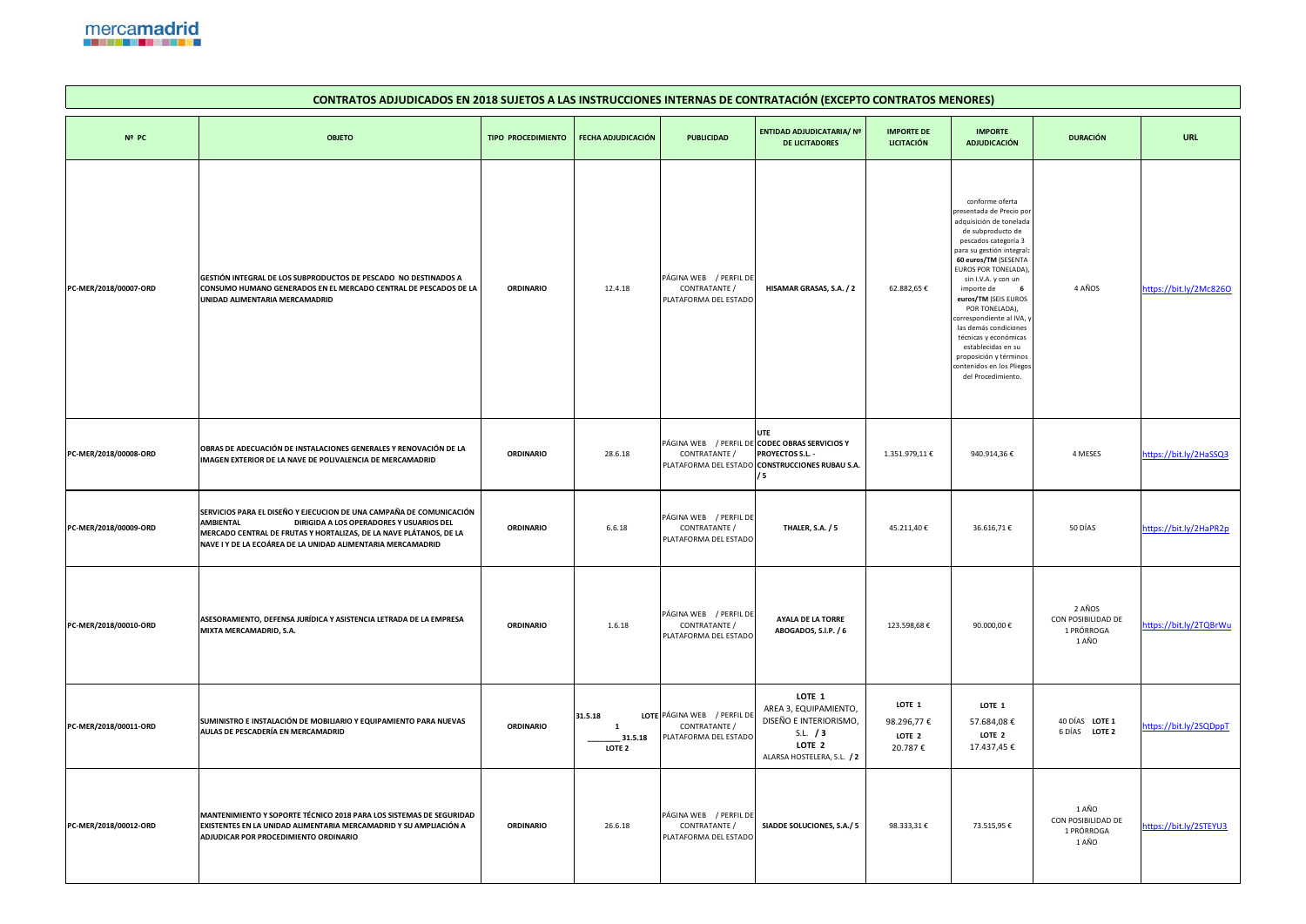

## **Nº PC OBJETO TIPO PROCEDIMIENTO FECHA ADJUDICACIÓN PUBLICIDAD PC-MER/2018/00007-ORD GESTIÓN INTEGRAL DE LOS SUBPRODUCTOS DE PESCADO NO DESTINADOS A CONSUMO HUMANO GENERADOS EN EL MERCADO CENTRAL DE PESCADOS DE LA UNIDAD ALIMENTARIA MERCAMADRID ORDINARIO** 12.4.18 PÁGIN PLATAF **PC-MER/2018/00008-ORD OBRAS DE ADECUACIÓN DE INSTALACIONES GENERALES Y RENOVACIÓN DE LA IMAGEN EXTERIOR DE LA NAVE DE POLIVALENCIA DE MERCAMADRID ORDINARIO** 28.6.18 PÁGIN  $C$ PLATAF **PC-MER/2018/00009-ORD SERVICIOS PARA EL DISEÑO Y EJECUCION DE UNA CAMPAÑA DE COMUNICACIÓN AMBIENTAL DIRIGIDA A LOS OPERADORES Y USUARIOS DEL MERCADO CENTRAL DE FRUTAS Y HORTALIZAS, DE LA NAVE PLÁTANOS, DE LA NAVE I Y DE LA ECOÁREA DE LA UNIDAD ALIMENTARIA MERCAMADRID ORDINARIO** 6.6.18 PÁGIN  $C$ PLATA **PC-MER/2018/00010-ORD ASESORAMIENTO, DEFENSA JURÍDICA Y ASISTENCIA LETRADA DE LA EMPRESA MIXTA MERCAMADRID, S.A. CONSERVATION CONTRACT ASSISTENCIAL LETNADA DE LA ENTENSA DE CONDINARIO 1.6.18** PÁGIN PLATAF **PC-MER/2018/00011-ORD SUMINISTRO E INSTALACIÓN DE MOBILIARIO Y EQUIPAMIENTO PARA NUEVAS AULAS DE PESCADERÍA EN MERCAMADRID ORDINARIO**  $31.5.18$ **1 \_\_\_\_\_\_\_\_ 31.5.18 LOTE 2**  LOTE PÁGINA PLATAF **PC-MER/2018/00012-ORD MANTENIMIENTO Y SOPORTE TÉCNICO 2018 PARA LOS SISTEMAS DE SEGURIDAD EXISTENTES EN LA UNIDAD ALIMENTARIA MERCAMADRID Y SU AMPLIACIÓN A ADJUDICAR POR PROCEDIMIENTO ORDINARIO ORDINARIO** 26.6.18 PÁGIN PLATAF

## **CONTRATOS ADJUDICADOS EN 2018 SUJETOS A LAS INSTRUCCIONES INTERNATION EN 2018**

| <b>ERNAS DE CONTRATACIÓN (EXCEPTO CONTRATOS MENORES)</b>           |                                                                                                                                                 |                                                                 |                                                                                                                                                                                                                                                                                                                                                                                                                                                                        |                                                     |                        |  |  |  |  |
|--------------------------------------------------------------------|-------------------------------------------------------------------------------------------------------------------------------------------------|-----------------------------------------------------------------|------------------------------------------------------------------------------------------------------------------------------------------------------------------------------------------------------------------------------------------------------------------------------------------------------------------------------------------------------------------------------------------------------------------------------------------------------------------------|-----------------------------------------------------|------------------------|--|--|--|--|
| <b>PUBLICIDAD</b>                                                  | <b>ENTIDAD ADJUDICATARIA/ Nº</b><br><b>DE LICITADORES</b>                                                                                       | <b>IMPORTE DE</b><br><b>LICITACIÓN</b>                          | <b>IMPORTE</b><br><b>ADJUDICACIÓN</b>                                                                                                                                                                                                                                                                                                                                                                                                                                  | <b>DURACIÓN</b>                                     | <b>URL</b>             |  |  |  |  |
| / PERFIL DE<br>NA WEB<br>CONTRATANTE /<br>AFORMA DEL ESTADO        | HISAMAR GRASAS, S.A. / 2                                                                                                                        | 62.882,65€                                                      | conforme oferta<br>presentada de Precio por<br>adquisición de tonelada<br>de subproducto de<br>pescados categoría 3<br>para su gestión integral:<br>60 euros/TM (SESENTA<br>EUROS POR TONELADA),<br>sin I.V.A. y con un<br>importe de<br>6<br>euros/TM (SEIS EUROS<br>POR TONELADA),<br>correspondiente al IVA, y<br>las demás condiciones<br>técnicas y económicas<br>establecidas en su<br>proposición y términos<br>contenidos en los Pliegos<br>del Procedimiento. | 4 AÑOS                                              | https://bit.ly/2Mc8260 |  |  |  |  |
| CONTRATANTE /                                                      | <b>UTE</b><br>NA WEB / PERFIL DE <b>CODEC OBRAS SERVICIOS Y</b><br><b>PROYECTOS S.L. -</b><br>AFORMA DEL ESTADO CONSTRUCCIONES RUBAU S.A.<br>/5 | 1.351.979,11€                                                   | 940.914,36€                                                                                                                                                                                                                                                                                                                                                                                                                                                            | 4 MESES                                             | https://bit.ly/2HaSSQ3 |  |  |  |  |
| NA WEB / PERFIL DE<br>CONTRATANTE /<br>AFORMA DEL ESTADO           | <b>THALER, S.A. / 5</b>                                                                                                                         | 45.211,40€                                                      | 36.616,71€                                                                                                                                                                                                                                                                                                                                                                                                                                                             | 50 DÍAS                                             | https://bit.ly/2HaPR2p |  |  |  |  |
| NA WEB / PERFIL DE<br>CONTRATANTE /<br>AFORMA DEL ESTADO           | <b>AYALA DE LA TORRE</b><br>ABOGADOS, S.I.P. / 6                                                                                                | 123.598,68€                                                     | 90.000,00€                                                                                                                                                                                                                                                                                                                                                                                                                                                             | 2 AÑOS<br>CON POSIBILIDAD DE<br>1 PRÓRROGA<br>1 AÑO | https://bit.ly/2TQBrWu |  |  |  |  |
| NA WEB / PERFIL DE<br>CONTRATANTE /<br><b>AFORMA DEL ESTADO</b>    | LOTE <sub>1</sub><br>AREA 3, EQUIPAMIENTO,<br>DISEÑO E INTERIORISMO,<br>S.L. $/3$<br>LOTE <sub>2</sub><br>ALARSA HOSTELERA, S.L. / 2            | LOTE <sub>1</sub><br>98.296,77€<br>LOTE <sub>2</sub><br>20.787€ | LOTE 1<br>57.684,08€<br>LOTE <sub>2</sub><br>17.437,45€                                                                                                                                                                                                                                                                                                                                                                                                                | 40 DÍAS LOTE 1<br>6 DÍAS<br>LOTE <sub>2</sub>       | https://bit.ly/2SQDppT |  |  |  |  |
| / PERFIL DE<br>NA WEB<br>CONTRATANTE /<br><b>AFORMA DEL ESTADO</b> | SIADDE SOLUCIONES, S.A./ 5                                                                                                                      | 98.333,31€                                                      | 73.515,95€                                                                                                                                                                                                                                                                                                                                                                                                                                                             | 1 AÑO<br>CON POSIBILIDAD DE<br>1 PRÓRROGA<br>1 AÑO  | https://bit.ly/2STEYU3 |  |  |  |  |